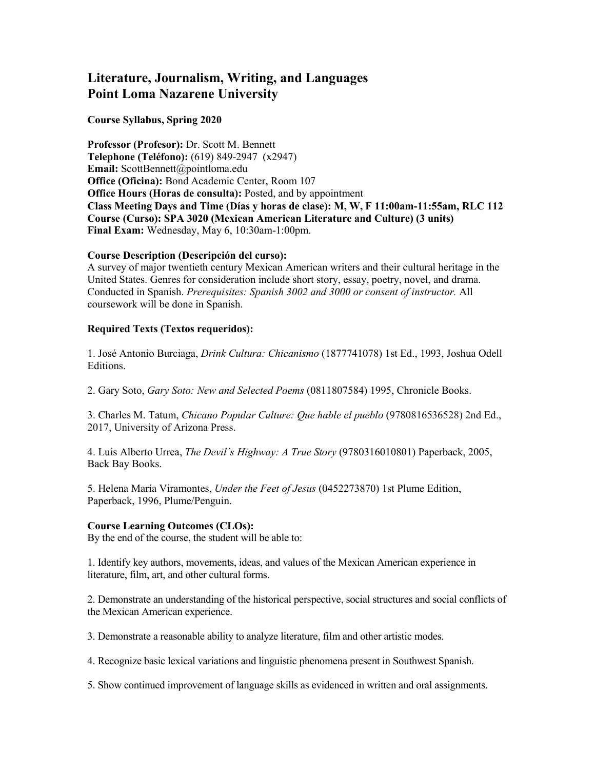# **Literature, Journalism, Writing, and Languages Point Loma Nazarene University**

#### **Course Syllabus, Spring 2020**

**Professor (Profesor):** Dr. Scott M. Bennett **Telephone (Teléfono):** (619) 849-2947 (x2947) **Email:** ScottBennett@pointloma.edu **Office (Oficina):** Bond Academic Center, Room 107 **Office Hours (Horas de consulta):** Posted, and by appointment **Class Meeting Days and Time (Días y horas de clase): M, W, F 11:00am-11:55am, RLC 112 Course (Curso): SPA 3020 (Mexican American Literature and Culture) (3 units) Final Exam:** Wednesday, May 6, 10:30am-1:00pm.

#### **Course Description (Descripción del curso):**

A survey of major twentieth century Mexican American writers and their cultural heritage in the United States. Genres for consideration include short story, essay, poetry, novel, and drama. Conducted in Spanish. *Prerequisites: Spanish 3002 and 3000 or consent of instructor.* All coursework will be done in Spanish.

## **Required Texts (Textos requeridos):**

1. José Antonio Burciaga, *Drink Cultura: Chicanismo* (1877741078) 1st Ed., 1993, Joshua Odell Editions.

2. Gary Soto, *Gary Soto: New and Selected Poems* (0811807584) 1995, Chronicle Books.

3. Charles M. Tatum, *Chicano Popular Culture: Que hable el pueblo* (9780816536528) 2nd Ed., 2017, University of Arizona Press.

4. Luis Alberto Urrea, *The Devil´s Highway: A True Story* (9780316010801) Paperback, 2005, Back Bay Books.

5. Helena María Viramontes, *Under the Feet of Jesus* (0452273870) 1st Plume Edition, Paperback, 1996, Plume/Penguin.

## **Course Learning Outcomes (CLOs):**

By the end of the course, the student will be able to:

1. Identify key authors, movements, ideas, and values of the Mexican American experience in literature, film, art, and other cultural forms.

2. Demonstrate an understanding of the historical perspective, social structures and social conflicts of the Mexican American experience.

3. Demonstrate a reasonable ability to analyze literature, film and other artistic modes.

4. Recognize basic lexical variations and linguistic phenomena present in Southwest Spanish.

5. Show continued improvement of language skills as evidenced in written and oral assignments.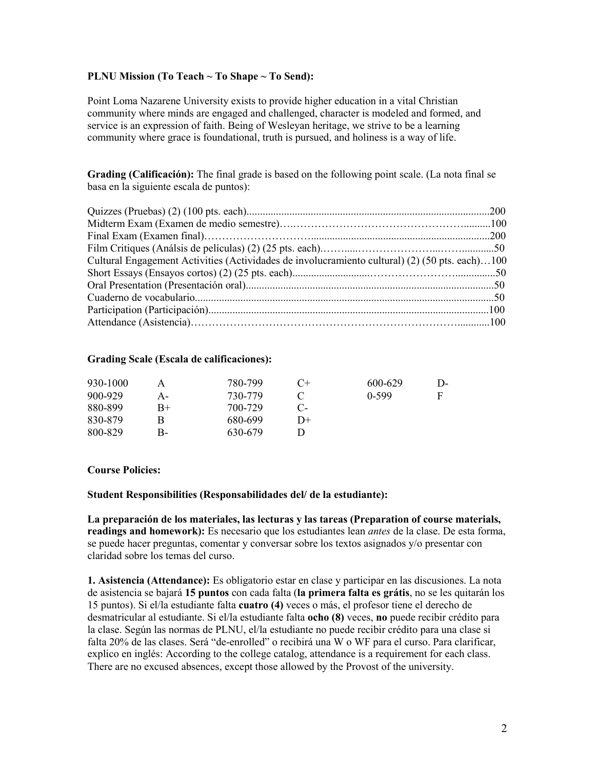#### **PLNU Mission (To Teach ~ To Shape ~ To Send):**

Point Loma Nazarene University exists to provide higher education in a vital Christian community where minds are engaged and challenged, character is modeled and formed, and service is an expression of faith. Being of Wesleyan heritage, we strive to be a learning community where grace is foundational, truth is pursued, and holiness is a way of life.

**Grading (Calificación):** The final grade is based on the following point scale. (La nota final se basa en la siguiente escala de puntos):

| Cultural Engagement Activities (Actividades de involucramiento cultural) (2) (50 pts. each)100 |  |
|------------------------------------------------------------------------------------------------|--|
|                                                                                                |  |
|                                                                                                |  |
|                                                                                                |  |
|                                                                                                |  |
|                                                                                                |  |

#### **Grading Scale (Escala de calificaciones):**

| 930-1000 |      | 780-799 | $C+$         | 600-629 | $\mathsf{D}$ |
|----------|------|---------|--------------|---------|--------------|
| 900-929  | А-   | 730-779 |              | $0-599$ | F            |
| 880-899  | $B+$ | 700-729 | $\mathbf{C}$ |         |              |
| 830-879  |      | 680-699 | D+           |         |              |
| 800-829  | В-   | 630-679 |              |         |              |

#### **Course Policies:**

#### **Student Responsibilities (Responsabilidades del/ de la estudiante):**

**La preparación de los materiales, las lecturas y las tareas (Preparation of course materials, readings and homework):** Es necesario que los estudiantes lean *antes* de la clase. De esta forma, se puede hacer preguntas, comentar y conversar sobre los textos asignados y/o presentar con claridad sobre los temas del curso.

**1. Asistencia (Attendance):** Es obligatorio estar en clase y participar en las discusiones. La nota de asistencia se bajará **15 puntos** con cada falta (**la primera falta es grátis**, no se les quitarán los 15 puntos). Si el/la estudiante falta **cuatro (4)** veces o más, el profesor tiene el derecho de desmatricular al estudiante. Si el/la estudiante falta **ocho (8)** veces, **no** puede recibir crédito para la clase. Según las normas de PLNU, el/la estudiante no puede recibir crédito para una clase si falta 20% de las clases. Será "de-enrolled" o recibirá una W o WF para el curso. Para clarificar, explico en inglés: According to the college catalog, attendance is a requirement for each class. There are no excused absences, except those allowed by the Provost of the university.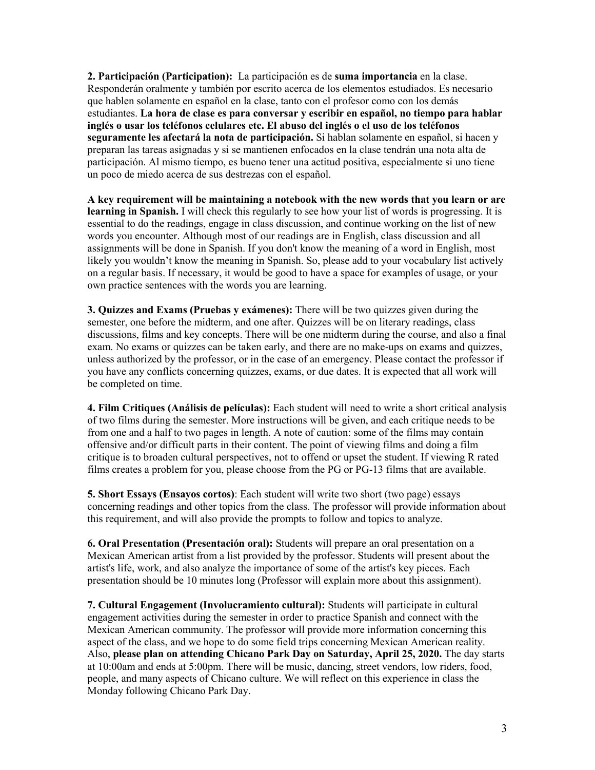**2. Participación (Participation):** La participación es de **suma importancia** en la clase. Responderán oralmente y también por escrito acerca de los elementos estudiados. Es necesario que hablen solamente en español en la clase, tanto con el profesor como con los demás estudiantes. **La hora de clase es para conversar y escribir en español, no tiempo para hablar inglés o usar los teléfonos celulares etc. El abuso del inglés o el uso de los teléfonos seguramente les afectará la nota de participación.** Si hablan solamente en español, si hacen y preparan las tareas asignadas y si se mantienen enfocados en la clase tendrán una nota alta de participación. Al mismo tiempo, es bueno tener una actitud positiva, especialmente si uno tiene un poco de miedo acerca de sus destrezas con el español.

**A key requirement will be maintaining a notebook with the new words that you learn or are learning in Spanish.** I will check this regularly to see how your list of words is progressing. It is essential to do the readings, engage in class discussion, and continue working on the list of new words you encounter. Although most of our readings are in English, class discussion and all assignments will be done in Spanish. If you don't know the meaning of a word in English, most likely you wouldn't know the meaning in Spanish. So, please add to your vocabulary list actively on a regular basis. If necessary, it would be good to have a space for examples of usage, or your own practice sentences with the words you are learning.

**3. Quizzes and Exams (Pruebas y exámenes):** There will be two quizzes given during the semester, one before the midterm, and one after. Quizzes will be on literary readings, class discussions, films and key concepts. There will be one midterm during the course, and also a final exam. No exams or quizzes can be taken early, and there are no make-ups on exams and quizzes, unless authorized by the professor, or in the case of an emergency. Please contact the professor if you have any conflicts concerning quizzes, exams, or due dates. It is expected that all work will be completed on time.

**4. Film Critiques (Análisis de películas):** Each student will need to write a short critical analysis of two films during the semester. More instructions will be given, and each critique needs to be from one and a half to two pages in length. A note of caution: some of the films may contain offensive and/or difficult parts in their content. The point of viewing films and doing a film critique is to broaden cultural perspectives, not to offend or upset the student. If viewing R rated films creates a problem for you, please choose from the PG or PG-13 films that are available.

**5. Short Essays (Ensayos cortos)**: Each student will write two short (two page) essays concerning readings and other topics from the class. The professor will provide information about this requirement, and will also provide the prompts to follow and topics to analyze.

**6. Oral Presentation (Presentación oral):** Students will prepare an oral presentation on a Mexican American artist from a list provided by the professor. Students will present about the artist's life, work, and also analyze the importance of some of the artist's key pieces. Each presentation should be 10 minutes long (Professor will explain more about this assignment).

**7. Cultural Engagement (Involucramiento cultural):** Students will participate in cultural engagement activities during the semester in order to practice Spanish and connect with the Mexican American community. The professor will provide more information concerning this aspect of the class, and we hope to do some field trips concerning Mexican American reality. Also, **please plan on attending Chicano Park Day on Saturday, April 25, 2020.** The day starts at 10:00am and ends at 5:00pm. There will be music, dancing, street vendors, low riders, food, people, and many aspects of Chicano culture. We will reflect on this experience in class the Monday following Chicano Park Day.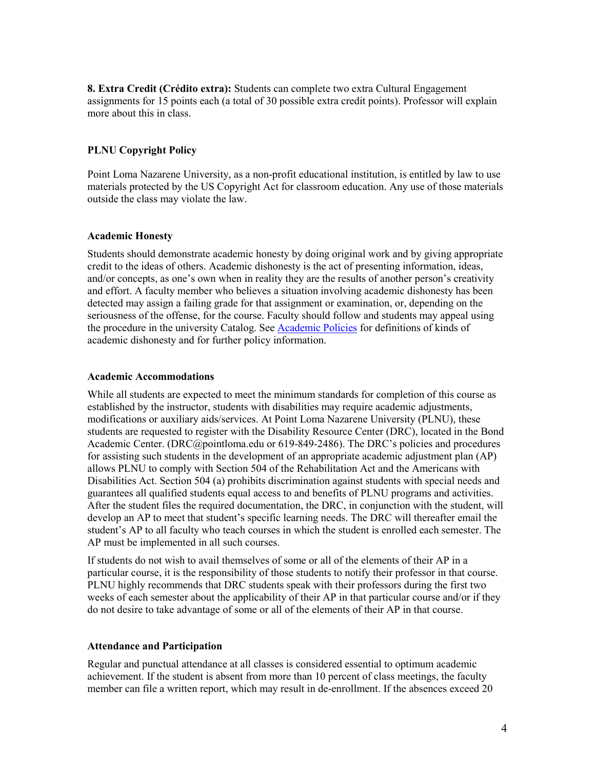**8. Extra Credit (Crédito extra):** Students can complete two extra Cultural Engagement assignments for 15 points each (a total of 30 possible extra credit points). Professor will explain more about this in class.

# **PLNU Copyright Policy**

Point Loma Nazarene University, as a non-profit educational institution, is entitled by law to use materials protected by the US Copyright Act for classroom education. Any use of those materials outside the class may violate the law.

#### **Academic Honesty**

Students should demonstrate academic honesty by doing original work and by giving appropriate credit to the ideas of others. Academic dishonesty is the act of presenting information, ideas, and/or concepts, as one's own when in reality they are the results of another person's creativity and effort. A faculty member who believes a situation involving academic dishonesty has been detected may assign a failing grade for that assignment or examination, or, depending on the seriousness of the offense, for the course. Faculty should follow and students may appeal using the procedure in the university Catalog. See **Academic Policies** for definitions of kinds of academic dishonesty and for further policy information.

#### **Academic Accommodations**

While all students are expected to meet the minimum standards for completion of this course as established by the instructor, students with disabilities may require academic adjustments, modifications or auxiliary aids/services. At Point Loma Nazarene University (PLNU), these students are requested to register with the Disability Resource Center (DRC), located in the Bond Academic Center. (DRC@pointloma.edu or 619-849-2486). The DRC's policies and procedures for assisting such students in the development of an appropriate academic adjustment plan (AP) allows PLNU to comply with Section 504 of the Rehabilitation Act and the Americans with Disabilities Act. Section 504 (a) prohibits discrimination against students with special needs and guarantees all qualified students equal access to and benefits of PLNU programs and activities. After the student files the required documentation, the DRC, in conjunction with the student, will develop an AP to meet that student's specific learning needs. The DRC will thereafter email the student's AP to all faculty who teach courses in which the student is enrolled each semester. The AP must be implemented in all such courses.

If students do not wish to avail themselves of some or all of the elements of their AP in a particular course, it is the responsibility of those students to notify their professor in that course. PLNU highly recommends that DRC students speak with their professors during the first two weeks of each semester about the applicability of their AP in that particular course and/or if they do not desire to take advantage of some or all of the elements of their AP in that course.

## **Attendance and Participation**

Regular and punctual attendance at all classes is considered essential to optimum academic achievement. If the student is absent from more than 10 percent of class meetings, the faculty member can file a written report, which may result in de-enrollment. If the absences exceed 20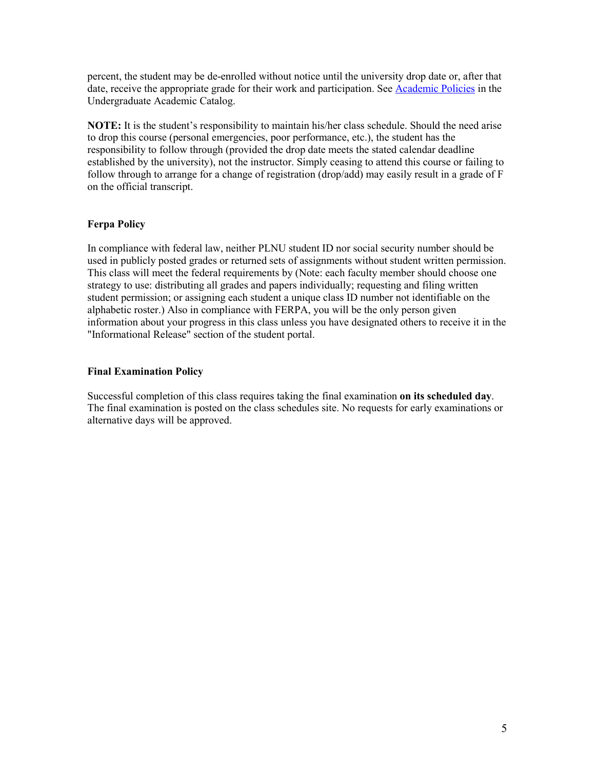percent, the student may be de-enrolled without notice until the university drop date or, after that date, receive the appropriate grade for their work and participation. Se[e Academic Policies](http://catalog.pointloma.edu/content.php?catoid=18&navoid=1278) in the Undergraduate Academic Catalog.

**NOTE:** It is the student's responsibility to maintain his/her class schedule. Should the need arise to drop this course (personal emergencies, poor performance, etc.), the student has the responsibility to follow through (provided the drop date meets the stated calendar deadline established by the university), not the instructor. Simply ceasing to attend this course or failing to follow through to arrange for a change of registration (drop/add) may easily result in a grade of F on the official transcript.

# **Ferpa Policy**

In compliance with federal law, neither PLNU student ID nor social security number should be used in publicly posted grades or returned sets of assignments without student written permission. This class will meet the federal requirements by (Note: each faculty member should choose one strategy to use: distributing all grades and papers individually; requesting and filing written student permission; or assigning each student a unique class ID number not identifiable on the alphabetic roster.) Also in compliance with FERPA, you will be the only person given information about your progress in this class unless you have designated others to receive it in the "Informational Release" section of the student portal.

# **Final Examination Policy**

Successful completion of this class requires taking the final examination **on its scheduled day**. The final examination is posted on the class schedules site. No requests for early examinations or alternative days will be approved.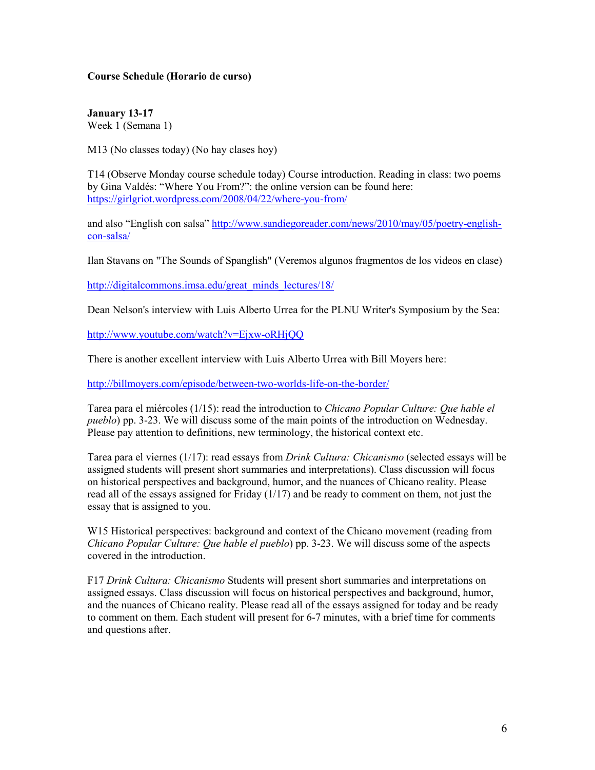## **Course Schedule (Horario de curso)**

**January 13-17** Week 1 (Semana 1)

M13 (No classes today) (No hay clases hoy)

T14 (Observe Monday course schedule today) Course introduction. Reading in class: two poems by Gina Valdés: "Where You From?": the online version can be found here: <https://girlgriot.wordpress.com/2008/04/22/where-you-from/>

and also "English con salsa" [http://www.sandiegoreader.com/news/2010/may/05/poetry-english](http://www.sandiegoreader.com/news/2010/may/05/poetry-english-con-salsa/)[con-salsa/](http://www.sandiegoreader.com/news/2010/may/05/poetry-english-con-salsa/)

Ilan Stavans on "The Sounds of Spanglish" (Veremos algunos fragmentos de los videos en clase)

[http://digitalcommons.imsa.edu/great\\_minds\\_lectures/18/](http://digitalcommons.imsa.edu/great_minds_lectures/18/)

Dean Nelson's interview with Luis Alberto Urrea for the PLNU Writer's Symposium by the Sea:

<http://www.youtube.com/watch?v=Ejxw-oRHjQQ>

There is another excellent interview with Luis Alberto Urrea with Bill Moyers here:

<http://billmoyers.com/episode/between-two-worlds-life-on-the-border/>

Tarea para el miércoles (1/15): read the introduction to *Chicano Popular Culture: Que hable el pueblo*) pp. 3-23. We will discuss some of the main points of the introduction on Wednesday. Please pay attention to definitions, new terminology, the historical context etc.

Tarea para el viernes (1/17): read essays from *Drink Cultura: Chicanismo* (selected essays will be assigned students will present short summaries and interpretations). Class discussion will focus on historical perspectives and background, humor, and the nuances of Chicano reality. Please read all of the essays assigned for Friday  $(1/17)$  and be ready to comment on them, not just the essay that is assigned to you.

W15 Historical perspectives: background and context of the Chicano movement (reading from *Chicano Popular Culture: Que hable el pueblo*) pp. 3-23. We will discuss some of the aspects covered in the introduction.

F17 *Drink Cultura: Chicanismo* Students will present short summaries and interpretations on assigned essays. Class discussion will focus on historical perspectives and background, humor, and the nuances of Chicano reality. Please read all of the essays assigned for today and be ready to comment on them. Each student will present for 6-7 minutes, with a brief time for comments and questions after.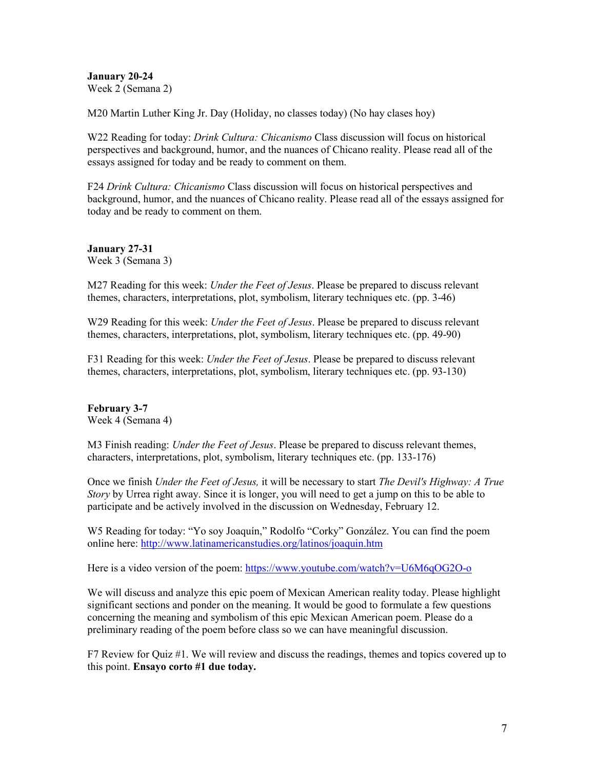**January 20-24** Week 2 (Semana 2)

M20 Martin Luther King Jr. Day (Holiday, no classes today) (No hay clases hoy)

W22 Reading for today: *Drink Cultura: Chicanismo* Class discussion will focus on historical perspectives and background, humor, and the nuances of Chicano reality. Please read all of the essays assigned for today and be ready to comment on them.

F24 *Drink Cultura: Chicanismo* Class discussion will focus on historical perspectives and background, humor, and the nuances of Chicano reality. Please read all of the essays assigned for today and be ready to comment on them.

**January 27-31** Week 3 (Semana 3)

M27 Reading for this week: *Under the Feet of Jesus*. Please be prepared to discuss relevant themes, characters, interpretations, plot, symbolism, literary techniques etc. (pp. 3-46)

W29 Reading for this week: *Under the Feet of Jesus*. Please be prepared to discuss relevant themes, characters, interpretations, plot, symbolism, literary techniques etc. (pp. 49-90)

F31 Reading for this week: *Under the Feet of Jesus*. Please be prepared to discuss relevant themes, characters, interpretations, plot, symbolism, literary techniques etc. (pp. 93-130)

**February 3-7** Week 4 (Semana 4)

M3 Finish reading: *Under the Feet of Jesus*. Please be prepared to discuss relevant themes, characters, interpretations, plot, symbolism, literary techniques etc. (pp. 133-176)

Once we finish *Under the Feet of Jesus,* it will be necessary to start *The Devil's Highway: A True Story* by Urrea right away. Since it is longer, you will need to get a jump on this to be able to participate and be actively involved in the discussion on Wednesday, February 12.

W5 Reading for today: "Yo soy Joaquín," Rodolfo "Corky" González. You can find the poem online here: <http://www.latinamericanstudies.org/latinos/joaquin.htm>

Here is a video version of the poem:<https://www.youtube.com/watch?v=U6M6qOG2O-o>

We will discuss and analyze this epic poem of Mexican American reality today. Please highlight significant sections and ponder on the meaning. It would be good to formulate a few questions concerning the meaning and symbolism of this epic Mexican American poem. Please do a preliminary reading of the poem before class so we can have meaningful discussion.

F7 Review for Quiz #1. We will review and discuss the readings, themes and topics covered up to this point. **Ensayo corto #1 due today.**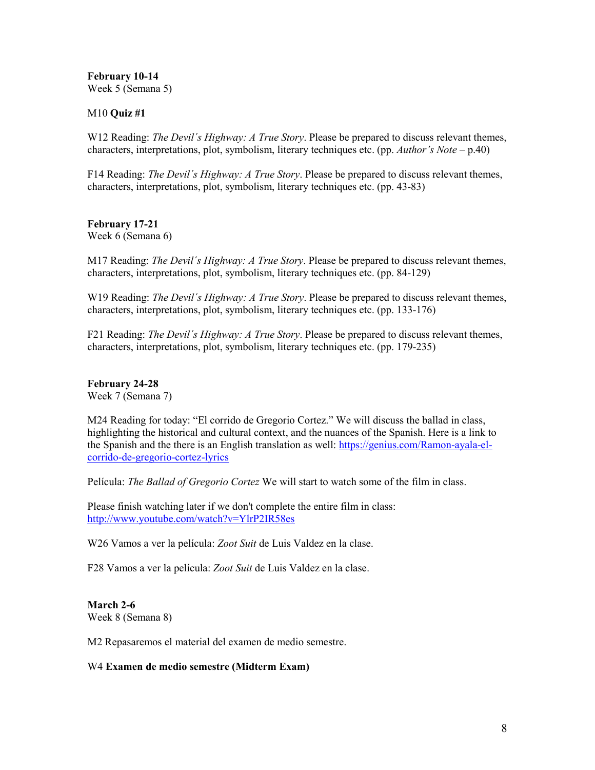**February 10-14** Week 5 (Semana 5)

## M10 **Quiz #1**

W12 Reading: *The Devil´s Highway: A True Story*. Please be prepared to discuss relevant themes, characters, interpretations, plot, symbolism, literary techniques etc. (pp. *Author's Note* – p.40)

F14 Reading: *The Devil´s Highway: A True Story*. Please be prepared to discuss relevant themes, characters, interpretations, plot, symbolism, literary techniques etc. (pp. 43-83)

#### **February 17-21** Week 6 (Semana 6)

M17 Reading: *The Devil´s Highway: A True Story*. Please be prepared to discuss relevant themes, characters, interpretations, plot, symbolism, literary techniques etc. (pp. 84-129)

W19 Reading: *The Devil´s Highway: A True Story*. Please be prepared to discuss relevant themes, characters, interpretations, plot, symbolism, literary techniques etc. (pp. 133-176)

F21 Reading: *The Devil´s Highway: A True Story*. Please be prepared to discuss relevant themes, characters, interpretations, plot, symbolism, literary techniques etc. (pp. 179-235)

# **February 24-28**

Week 7 (Semana 7)

M24 Reading for today: "El corrido de Gregorio Cortez." We will discuss the ballad in class, highlighting the historical and cultural context, and the nuances of the Spanish. Here is a link to the Spanish and the there is an English translation as well: [https://genius.com/Ramon-ayala-el](https://genius.com/Ramon-ayala-el-corrido-de-gregorio-cortez-lyrics)[corrido-de-gregorio-cortez-lyrics](https://genius.com/Ramon-ayala-el-corrido-de-gregorio-cortez-lyrics)

Película: *The Ballad of Gregorio Cortez* We will start to watch some of the film in class.

Please finish watching later if we don't complete the entire film in class: <http://www.youtube.com/watch?v=YlrP2IR58es>

W26 Vamos a ver la película: *Zoot Suit* de Luis Valdez en la clase.

F28 Vamos a ver la película: *Zoot Suit* de Luis Valdez en la clase.

# **March 2-6**

Week 8 (Semana 8)

M2 Repasaremos el material del examen de medio semestre.

#### W4 **Examen de medio semestre (Midterm Exam)**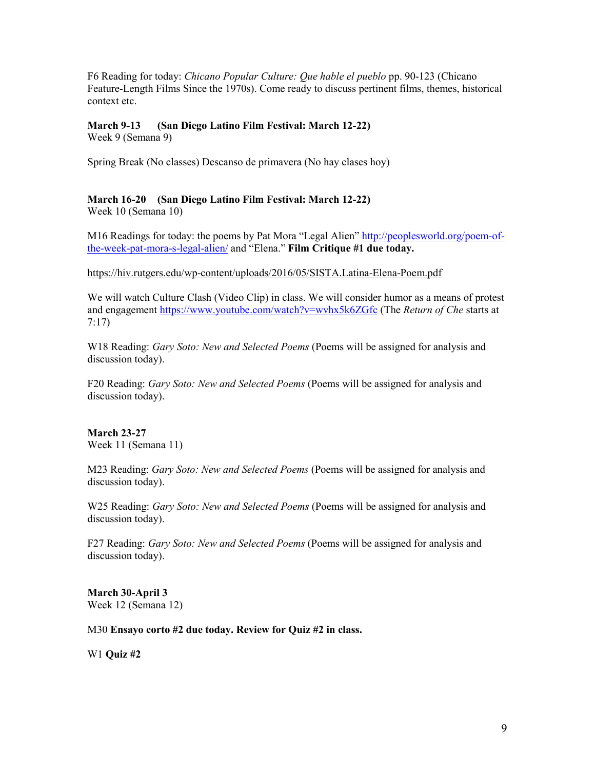F6 Reading for today: *Chicano Popular Culture: Que hable el pueblo* pp. 90-123 (Chicano Feature-Length Films Since the 1970s). Come ready to discuss pertinent films, themes, historical context etc.

# **March 9-13 (San Diego Latino Film Festival: March 12-22)**

Week 9 (Semana 9)

Spring Break (No classes) Descanso de primavera (No hay clases hoy)

# **March 16-20 (San Diego Latino Film Festival: March 12-22)**

Week 10 (Semana 10)

M16 Readings for today: the poems by Pat Mora "Legal Alien" [http://peoplesworld.org/poem-of](http://peoplesworld.org/poem-of-the-week-pat-mora-s-legal-alien/)[the-week-pat-mora-s-legal-alien/](http://peoplesworld.org/poem-of-the-week-pat-mora-s-legal-alien/) and "Elena." **Film Critique #1 due today.**

# <https://hiv.rutgers.edu/wp-content/uploads/2016/05/SISTA.Latina-Elena-Poem.pdf>

We will watch Culture Clash (Video Clip) in class. We will consider humor as a means of protest and engagement <https://www.youtube.com/watch?v=wvhx5k6ZGfc> (The *Return of Che* starts at 7:17)

W18 Reading: *Gary Soto: New and Selected Poems* (Poems will be assigned for analysis and discussion today).

F20 Reading: *Gary Soto: New and Selected Poems* (Poems will be assigned for analysis and discussion today).

# **March 23-27**

Week 11 (Semana 11)

M23 Reading: *Gary Soto: New and Selected Poems* (Poems will be assigned for analysis and discussion today).

W25 Reading: *Gary Soto: New and Selected Poems* (Poems will be assigned for analysis and discussion today).

F27 Reading: *Gary Soto: New and Selected Poems* (Poems will be assigned for analysis and discussion today).

**March 30-April 3** Week 12 (Semana 12)

M30 **Ensayo corto #2 due today. Review for Quiz #2 in class.**

W1 **Quiz #2**